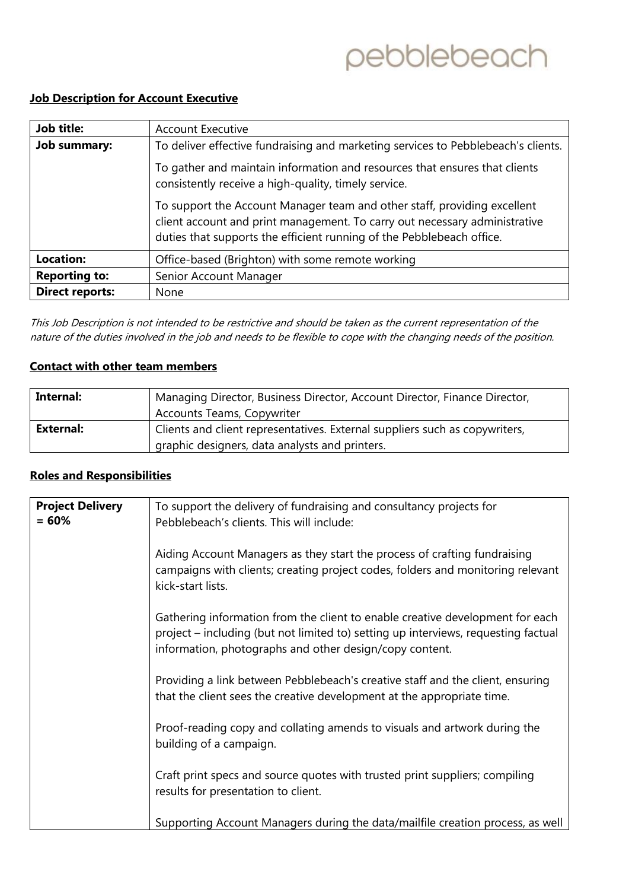# pebblebeach

### **Job Description for Account Executive**

| Job title:             | <b>Account Executive</b>                                                                                                                                                                                                        |
|------------------------|---------------------------------------------------------------------------------------------------------------------------------------------------------------------------------------------------------------------------------|
| <b>Job summary:</b>    | To deliver effective fundraising and marketing services to Pebblebeach's clients.                                                                                                                                               |
|                        | To gather and maintain information and resources that ensures that clients<br>consistently receive a high-quality, timely service.                                                                                              |
|                        | To support the Account Manager team and other staff, providing excellent<br>client account and print management. To carry out necessary administrative<br>duties that supports the efficient running of the Pebblebeach office. |
| <b>Location:</b>       | Office-based (Brighton) with some remote working                                                                                                                                                                                |
| <b>Reporting to:</b>   | Senior Account Manager                                                                                                                                                                                                          |
| <b>Direct reports:</b> | None                                                                                                                                                                                                                            |

This Job Description is not intended to be restrictive and should be taken as the current representation of the nature of the duties involved in the job and needs to be flexible to cope with the changing needs of the position.

### **Contact with other team members**

| Internal:        | Managing Director, Business Director, Account Director, Finance Director,                                                     |
|------------------|-------------------------------------------------------------------------------------------------------------------------------|
|                  | <b>Accounts Teams, Copywriter</b>                                                                                             |
| <b>External:</b> | Clients and client representatives. External suppliers such as copywriters,<br>graphic designers, data analysts and printers. |

#### **Roles and Responsibilities**

| <b>Project Delivery</b><br>$= 60%$ | To support the delivery of fundraising and consultancy projects for<br>Pebblebeach's clients. This will include:                                                                                                               |
|------------------------------------|--------------------------------------------------------------------------------------------------------------------------------------------------------------------------------------------------------------------------------|
|                                    | Aiding Account Managers as they start the process of crafting fundraising<br>campaigns with clients; creating project codes, folders and monitoring relevant<br>kick-start lists.                                              |
|                                    | Gathering information from the client to enable creative development for each<br>project - including (but not limited to) setting up interviews, requesting factual<br>information, photographs and other design/copy content. |
|                                    | Providing a link between Pebblebeach's creative staff and the client, ensuring<br>that the client sees the creative development at the appropriate time.                                                                       |
|                                    | Proof-reading copy and collating amends to visuals and artwork during the<br>building of a campaign.                                                                                                                           |
|                                    | Craft print specs and source quotes with trusted print suppliers; compiling<br>results for presentation to client.                                                                                                             |
|                                    | Supporting Account Managers during the data/mailfile creation process, as well                                                                                                                                                 |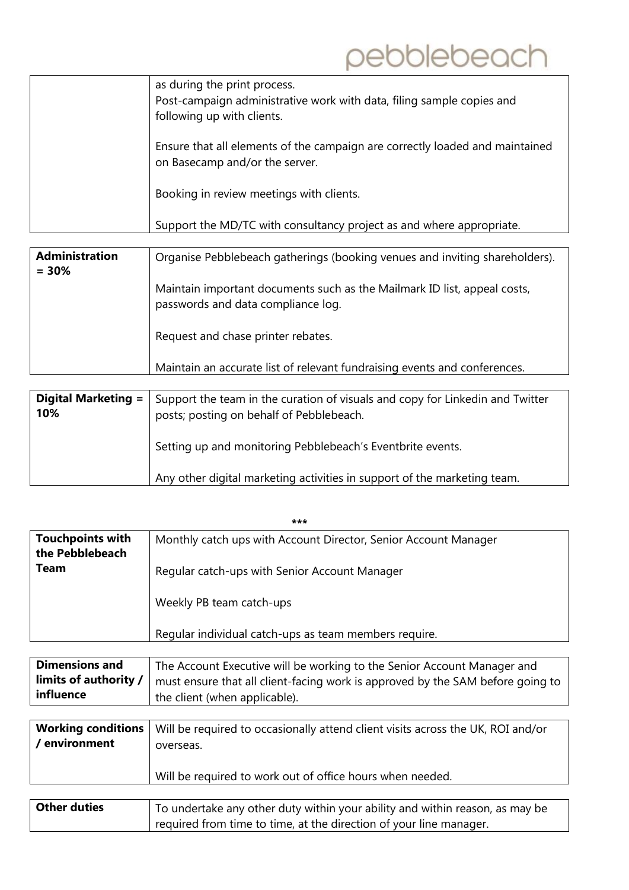| as during the print process.<br>Post-campaign administrative work with data, filing sample copies and<br>following up with clients. |
|-------------------------------------------------------------------------------------------------------------------------------------|
| Ensure that all elements of the campaign are correctly loaded and maintained<br>on Basecamp and/or the server.                      |
| Booking in review meetings with clients.                                                                                            |
| Support the MD/TC with consultancy project as and where appropriate.                                                                |

| <b>Administration</b><br>$= 30%$ | Organise Pebblebeach gatherings (booking venues and inviting shareholders).                                    |
|----------------------------------|----------------------------------------------------------------------------------------------------------------|
|                                  | Maintain important documents such as the Mailmark ID list, appeal costs,<br>passwords and data compliance log. |
|                                  | Request and chase printer rebates.                                                                             |
|                                  | Maintain an accurate list of relevant fundraising events and conferences.                                      |

|                            | Any other digital marketing activities in support of the marketing team.                                                  |
|----------------------------|---------------------------------------------------------------------------------------------------------------------------|
|                            | Setting up and monitoring Pebblebeach's Eventbrite events.                                                                |
| Digital Marketing =<br>10% | Support the team in the curation of visuals and copy for Linkedin and Twitter<br>posts; posting on behalf of Pebblebeach. |

|                                            | ***                                                             |
|--------------------------------------------|-----------------------------------------------------------------|
| <b>Touchpoints with</b><br>the Pebblebeach | Monthly catch ups with Account Director, Senior Account Manager |
| Team                                       | Regular catch-ups with Senior Account Manager                   |
|                                            | Weekly PB team catch-ups                                        |
|                                            | Regular individual catch-ups as team members require.           |
|                                            |                                                                 |

| <b>Dimensions and</b> | The Account Executive will be working to the Senior Account Manager and                                         |
|-----------------------|-----------------------------------------------------------------------------------------------------------------|
|                       | <b>limits of authority /</b> $ $ must ensure that all client-facing work is approved by the SAM before going to |
| influence             | the client (when applicable).                                                                                   |
|                       |                                                                                                                 |

| / environment | <b>Working conditions</b>   Will be required to occasionally attend client visits across the UK, ROI and/or<br>overseas. |
|---------------|--------------------------------------------------------------------------------------------------------------------------|
|               | Will be required to work out of office hours when needed.                                                                |

| <b>Other duties</b> | To undertake any other duty within your ability and within reason, as may be |
|---------------------|------------------------------------------------------------------------------|
|                     | required from time to time, at the direction of your line manager.           |